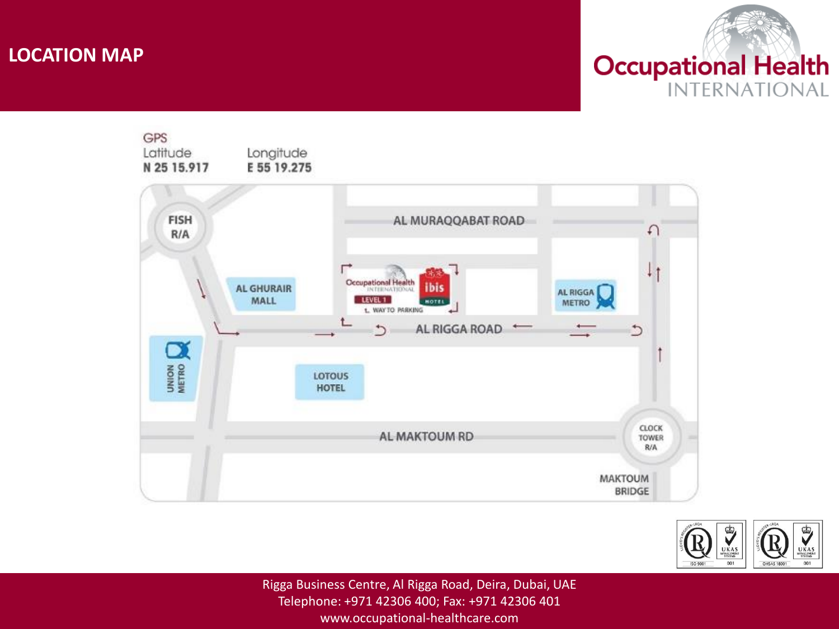## **LOCATION MAP**







Rigga Business Centre, Al Rigga Road, Deira, Dubai, UAE Telephone: +971 42306 400; Fax: +971 42306 401 www.occupational-healthcare.com